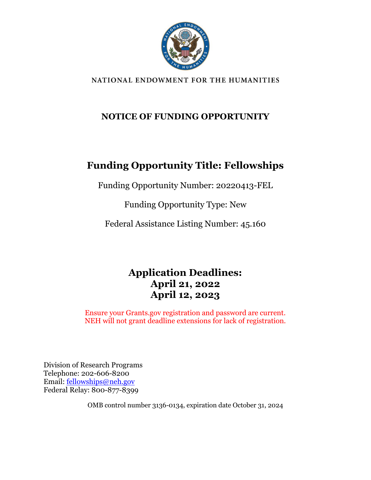

NATIONAL ENDOWMENT FOR THE HUMANITIES

## **NOTICE OF FUNDING OPPORTUNITY**

## **Funding Opportunity Title: Fellowships**

Funding Opportunity Number: 20220413-FEL

Funding Opportunity Type: New

Federal Assistance Listing Number: 45.160

## **Application Deadlines: April 21, 2022 April 12, 2023**

Ensure your Grants.gov registration and password are current. NEH will not grant deadline extensions for lack of registration.

Division of Research Programs Telephone: 202-606-8200 Email: [fellowships@neh.gov](mailto:fellowships@neh.gov) Federal Relay: 800-877-8399

OMB control number 3136-0134, expiration date October 31, 2024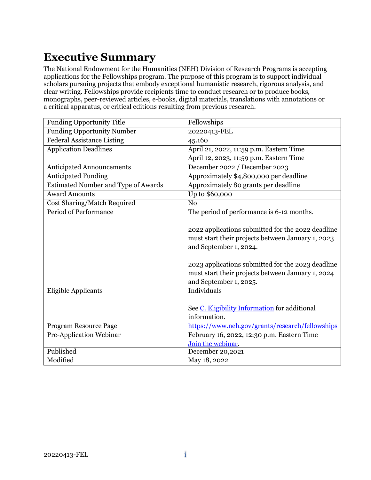# <span id="page-1-0"></span>**Executive Summary**

The National Endowment for the Humanities (NEH) Division of Research Programs is accepting applications for the Fellowships program. The purpose of this program is to support individual scholars pursuing projects that embody exceptional humanistic research, rigorous analysis, and clear writing. Fellowships provide recipients time to conduct research or to produce books, monographs, peer-reviewed articles, e-books, digital materials, translations with annotations or a critical apparatus, or critical editions resulting from previous research.

| <b>Funding Opportunity Title</b>           | Fellowships                                       |  |  |
|--------------------------------------------|---------------------------------------------------|--|--|
| <b>Funding Opportunity Number</b>          | 20220413-FEL                                      |  |  |
| <b>Federal Assistance Listing</b>          | 45.160                                            |  |  |
| <b>Application Deadlines</b>               | April 21, 2022, 11:59 p.m. Eastern Time           |  |  |
|                                            | April 12, 2023, 11:59 p.m. Eastern Time           |  |  |
| <b>Anticipated Announcements</b>           | December 2022 / December 2023                     |  |  |
| <b>Anticipated Funding</b>                 | Approximately \$4,800,000 per deadline            |  |  |
| <b>Estimated Number and Type of Awards</b> | Approximately 80 grants per deadline              |  |  |
| <b>Award Amounts</b>                       | Up to \$60,000                                    |  |  |
| <b>Cost Sharing/Match Required</b>         | N <sub>0</sub>                                    |  |  |
| <b>Period of Performance</b>               | The period of performance is 6-12 months.         |  |  |
|                                            |                                                   |  |  |
|                                            | 2022 applications submitted for the 2022 deadline |  |  |
|                                            | must start their projects between January 1, 2023 |  |  |
|                                            | and September 1, 2024.                            |  |  |
|                                            |                                                   |  |  |
|                                            | 2023 applications submitted for the 2023 deadline |  |  |
|                                            | must start their projects between January 1, 2024 |  |  |
|                                            | and September 1, 2025.                            |  |  |
| <b>Eligible Applicants</b>                 | Individuals                                       |  |  |
|                                            |                                                   |  |  |
|                                            | See C. Eligibility Information for additional     |  |  |
|                                            | information.                                      |  |  |
| Program Resource Page                      | https://www.neh.gov/grants/research/fellowships   |  |  |
| Pre-Application Webinar                    | February 16, 2022, 12:30 p.m. Eastern Time        |  |  |
|                                            | Join the webinar.                                 |  |  |
| Published                                  | December 20,2021                                  |  |  |
| Modified                                   | May 18, 2022                                      |  |  |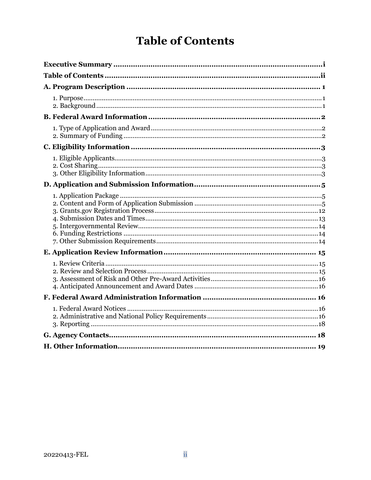# **Table of Contents**

<span id="page-2-0"></span>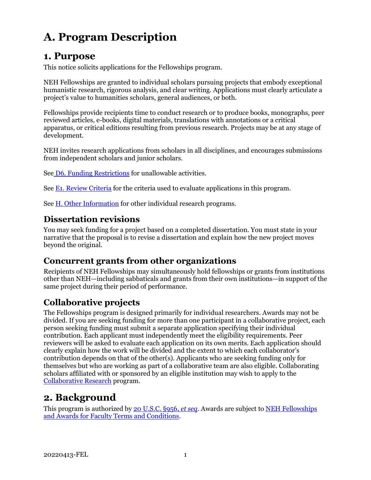# <span id="page-3-0"></span>**A. Program Description**

### <span id="page-3-1"></span>**1. Purpose**

This notice solicits applications for the Fellowships program.

NEH Fellowships are granted to individual scholars pursuing projects that embody exceptional humanistic research, rigorous analysis, and clear writing. Applications must clearly articulate a project's value to humanities scholars, general audiences, or both.

Fellowships provide recipients time to conduct research or to produce books, monographs, peer reviewed articles, e-books, digital materials, translations with annotations or a critical apparatus, or critical editions resulting from previous research. Projects may be at any stage of development.

NEH invites research applications from scholars in all disciplines, and encourages submissions from independent scholars and junior scholars.

See [D6. Funding Restrictions](#page-16-1) for unallowable activities.

See [E1. Review Criteria](#page-17-1) for the criteria used to evaluate applications in this program.

See [H. Other Information](#page-21-1) for other individual research programs.

### **Dissertation revisions**

You may seek funding for a project based on a completed dissertation. You must state in your narrative that the proposal is to revise a dissertation and explain how the new project moves beyond the original.

#### **Concurrent grants from other organizations**

Recipients of NEH Fellowships may simultaneously hold fellowships or grants from institutions other than NEH—including sabbaticals and grants from their own institutions—in support of the same project during their period of performance.

### **Collaborative projects**

The Fellowships program is designed primarily for individual researchers. Awards may not be divided. If you are seeking funding for more than one participant in a collaborative project, each person seeking funding must submit a separate application specifying their individual contribution. Each applicant must independently meet the eligibility requirements. Peer reviewers will be asked to evaluate each application on its own merits. Each application should clearly explain how the work will be divided and the extent to which each collaborator's contribution depends on that of the other(s). Applicants who are seeking funding only for themselves but who are working as part of a collaborative team are also eligible. Collaborating scholars affiliated with or sponsored by an eligible institution may wish to apply to the [Collaborative Research](https://www.neh.gov/grants/research/collaborative-research-grants) program.

## <span id="page-3-2"></span>**2. Background**

This program is authorized by [20 U.S.C. §956,](https://uscode.house.gov/view.xhtml?hl=false&edition=prelim&req=granuleid%3AUSC-prelim-title20-section956&num=0&saved=%7CKHRpdGxlOjIwIHNlY3Rpb246OTU2YSBlZGl0aW9uOnByZWxpbSk%3D%7C%7C%7C0%7Cfalse%7Cprelim) *et seq*. Awards are subject to [NEH Fellowships](https://www.neh.gov/grants/manage/neh-fellowships-terms-and-conditions)  [and Awards for Faculty Terms and Conditions.](https://www.neh.gov/grants/manage/neh-fellowships-terms-and-conditions)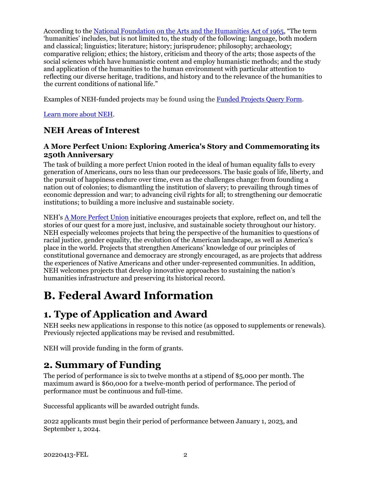According to th[e National Foundation on the Arts and the Humanities Act of 1965,](https://www.neh.gov/about/history/national-foundation-arts-and-humanities-act-1965-pl-89-209) "The term 'humanities' includes, but is not limited to, the study of the following: language, both modern and classical; linguistics; literature; history; jurisprudence; philosophy; archaeology; comparative religion; ethics; the history, criticism and theory of the arts; those aspects of the social sciences which have humanistic content and employ humanistic methods; and the study and application of the humanities to the human environment with particular attention to reflecting our diverse heritage, traditions, and history and to the relevance of the humanities to the current conditions of national life."

Examples of NEH-funded projects may be found using the [Funded Projects](https://securegrants.neh.gov/publicquery/main.aspx) Query Form.

[Learn more about NEH.](https://www.neh.gov/about)

### **NEH Areas of Interest**

#### **A More Perfect Union: Exploring America's Story and Commemorating its 250th Anniversary**

The task of building a more perfect Union rooted in the ideal of human equality falls to every generation of Americans, ours no less than our predecessors. The basic goals of life, liberty, and the pursuit of happiness endure over time, even as the challenges change: from founding a nation out of colonies; to dismantling the institution of slavery; to prevailing through times of economic depression and war; to advancing civil rights for all; to strengthening our democratic institutions; to building a more inclusive and sustainable society.

NEH's [A More Perfect Union](https://www.neh.gov/250) initiative encourages projects that explore, reflect on, and tell the stories of our quest for a more just, inclusive, and sustainable society throughout our history. NEH especially welcomes projects that bring the perspective of the humanities to questions of racial justice, gender equality, the evolution of the American landscape, as well as America's place in the world. Projects that strengthen Americans' knowledge of our principles of constitutional governance and democracy are strongly encouraged, as are projects that address the experiences of Native Americans and other under-represented communities. In addition, NEH welcomes projects that develop innovative approaches to sustaining the nation's humanities infrastructure and preserving its historical record.

# <span id="page-4-0"></span>**B. Federal Award Information**

## <span id="page-4-1"></span>**1. Type of Application and Award**

NEH seeks new applications in response to this notice (as opposed to supplements or renewals). Previously rejected applications may be revised and resubmitted.

NEH will provide funding in the form of grants.

### **2. Summary of Funding**

<span id="page-4-2"></span>The period of performance is six to twelve months at a stipend of \$5,000 per month. The maximum award is \$60,000 for a twelve-month period of performance. The period of performance must be continuous and full-time.

Successful applicants will be awarded outright funds.

2022 applicants must begin their period of performance between January 1, 2023, and September 1, 2024.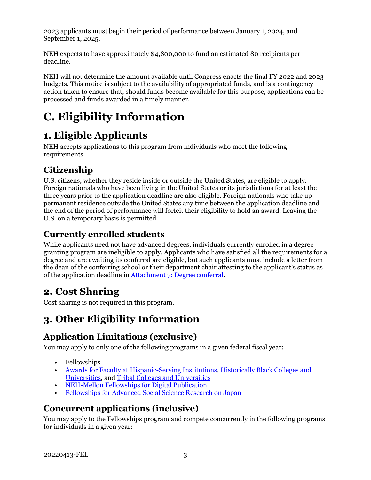2023 applicants must begin their period of performance between January 1, 2024, and September 1, 2025.

NEH expects to have approximately \$4,800,000 to fund an estimated 80 recipients per deadline.

NEH will not determine the amount available until Congress enacts the final FY 2022 and 2023 budgets. This notice is subject to the availability of appropriated funds, and is a contingency action taken to ensure that, should funds become available for this purpose, applications can be processed and funds awarded in a timely manner.

# <span id="page-5-0"></span>**C. Eligibility Information**

# <span id="page-5-1"></span>**1. Eligible Applicants**

NEH accepts applications to this program from individuals who meet the following requirements.

## **Citizenship**

U.S. citizens, whether they reside inside or outside the United States, are eligible to apply. Foreign nationals who have been living in the United States or its jurisdictions for at least the three years prior to the application deadline are also eligible. Foreign nationals who take up permanent residence outside the United States any time between the application deadline and the end of the period of performance will forfeit their eligibility to hold an award. Leaving the U.S. on a temporary basis is permitted.

## **Currently enrolled students**

While applicants need not have advanced degrees, individuals currently enrolled in a degree granting program are ineligible to apply. Applicants who have satisfied all the requirements for a degree and are awaiting its conferral are eligible, but such applicants must include a letter from the dean of the conferring school or their department chair attesting to the applicant's status as of the application deadline in [Attachment 7: Degree conferral.](#page-14-1)

## <span id="page-5-2"></span>**2. Cost Sharing**

Cost sharing is not required in this program.

## <span id="page-5-3"></span>**3. Other Eligibility Information**

## **Application Limitations (exclusive)**

You may apply to only one of the following programs in a given federal fiscal year:

- Fellowships
- [Awards for Faculty at Hispanic-Serving](https://www.neh.gov/grants/research/awards-faculty-hispanic-serving-institutions) Institutions, [Historically Black Colleges and](https://www.neh.gov/grants/research/awards-faculty-historically-black-colleges-and-universities)  [Universities,](https://www.neh.gov/grants/research/awards-faculty-historically-black-colleges-and-universities) and [Tribal Colleges and Universities](https://www.neh.gov/grants/research/awards-faculty-tribal-colleges-and-universities)
- [NEH-Mellon Fellowships for Digital Publication](https://www.neh.gov/grants/research/neh-mellon-fellowships-digital-publication)
- [Fellowships for Advanced Social Science Research on Japan](https://www.neh.gov/grants/research/fellowships-advanced-social-science-research-japan)

## **Concurrent applications (inclusive)**

You may apply to the Fellowships program and compete concurrently in the following programs for individuals in a given year: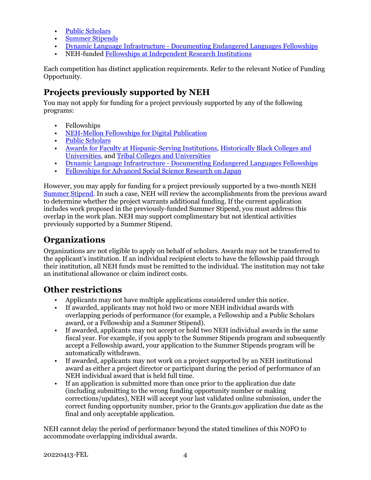- [Public Scholars](https://www.neh.gov/grants/research/public-scholar-program)
- [Summer Stipends](https://www.neh.gov/grants/research/summer-stipends)
- [Dynamic Language Infrastructure Documenting Endangered Languages Fellowships](https://www.neh.gov/program/dli-del-fellowships)
- NEH-funde[d Fellowships at Independent Research Institutions](https://www.neh.gov/grants/research/fellowship-programs-independent-research-institutions)

Each competition has distinct application requirements. Refer to the relevant Notice of Funding Opportunity.

## **Projects previously supported by NEH**

You may not apply for funding for a project previously supported by any of the following programs:

- Fellowships
- [NEH-Mellon Fellowships for Digital Publication](https://www.neh.gov/grants/research/neh-mellon-fellowships-digital-publication)
- [Public Scholars](https://www.neh.gov/grants/research/public-scholar-program)
- [Awards for Faculty at Hispanic-Serving Institutions,](https://www.neh.gov/grants/research/awards-faculty-hispanic-serving-institutions) [Historically Black Colleges and](https://www.neh.gov/grants/research/awards-faculty-historically-black-colleges-and-universities)  [Universities,](https://www.neh.gov/grants/research/awards-faculty-historically-black-colleges-and-universities) and [Tribal Colleges and Universities](https://www.neh.gov/grants/research/awards-faculty-tribal-colleges-and-universities)
- [Dynamic Language Infrastructure Documenting Endangered Languages Fellowships](https://www.neh.gov/program/dli-del-fellowships)
- [Fellowships for Advanced Social Science Research on Japan](https://www.neh.gov/grants/research/fellowships-advanced-social-science-research-japan)

However, you may apply for funding for a project previously supported by a two-month NEH [Summer Stipend.](https://www.neh.gov/grants/research/summer-stipends) In such a case, NEH will review the accomplishments from the previous award to determine whether the project warrants additional funding. If the current application includes work proposed in the previously-funded Summer Stipend, you must address this overlap in the work plan. NEH may support complimentary but not identical activities previously supported by a Summer Stipend.

### **Organizations**

Organizations are not eligible to apply on behalf of scholars. Awards may not be transferred to the applicant's institution. If an individual recipient elects to have the fellowship paid through their institution, all NEH funds must be remitted to the individual. The institution may not take an institutional allowance or claim indirect costs.

### **Other restrictions**

- Applicants may not have multiple applications considered under this notice.
- If awarded, applicants may not hold two or more NEH individual awards with overlapping periods of performance (for example, a Fellowship and a Public Scholars award, or a Fellowship and a Summer Stipend).
- If awarded, applicants may not accept or hold two NEH individual awards in the same fiscal year. For example, if you apply to the Summer Stipends program and subsequently accept a Fellowship award, your application to the Summer Stipends program will be automatically withdrawn.
- If awarded, applicants may not work on a project supported by an NEH institutional award as either a project director or participant during the period of performance of an NEH individual award that is held full time.
- If an application is submitted more than once prior to the application due date (including submitting to the wrong funding opportunity number or making corrections/updates), NEH will accept your last validated online submission, under the correct funding opportunity number, prior to the Grants.gov application due date as the final and only acceptable application.

NEH cannot delay the period of performance beyond the stated timelines of this NOFO to accommodate overlapping individual awards.

20220413-FEL 4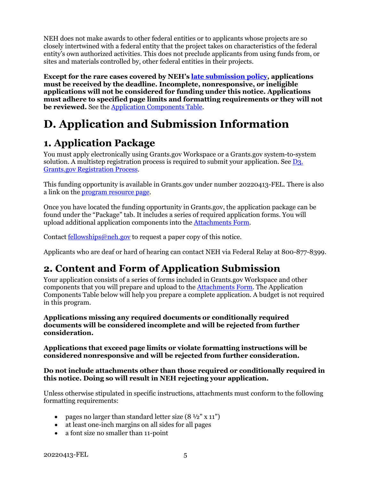NEH does not make awards to other federal entities or to applicants whose projects are so closely intertwined with a federal entity that the project takes on characteristics of the federal entity's own authorized activities. This does not preclude applicants from using funds from, or sites and materials controlled by, other federal entities in their projects.

**Except for the rare cases covered by NEH's [late submission policy,](https://www.neh.gov/grants/policy-on-late-submissions) applications must be received by the deadline. Incomplete, nonresponsive, or ineligible applications will not be considered for funding under this notice. Applications must adhere to specified page limits and formatting requirements or they will not be reviewed.** See th[e Application Components Table.](#page-7-2)

# <span id="page-7-0"></span>**D. Application and Submission Information**

## <span id="page-7-1"></span>**1. Application Package**

You must apply electronically using Grants.gov Workspace or a Grants.gov system-to-system solution. A multistep registration process is required to submit your application. See [D3.](#page-14-0)  [Grants.gov Registration Process.](#page-14-0)

This funding opportunity is available in Grants.gov under number 20220413-FEL. There is also a link on the [program resource page.](https://www.neh.gov/grants/research/fellowships)

Once you have located the funding opportunity in Grants.gov, the application package can be found under the "Package" tab. It includes a series of required application forms. You will upload additional application components into the [Attachments Form.](#page-10-0)

Contact [fellowships@neh.gov](mailto:fellowships@neh.gov) to request a paper copy of this notice.

Applicants who are deaf or hard of hearing can contact NEH via Federal Relay at 800-877-8399.

## <span id="page-7-2"></span>**2. Content and Form of Application Submission**

Your application consists of a series of forms included in Grants.gov Workspace and other components that you will prepare and upload to the [Attachments Form.](#page-10-0) The Application Components Table below will help you prepare a complete application. A budget is not required in this program.

**Applications missing any required documents or conditionally required documents will be considered incomplete and will be rejected from further consideration.**

**Applications that exceed page limits or violate formatting instructions will be considered nonresponsive and will be rejected from further consideration.**

#### **Do not include attachments other than those required or conditionally required in this notice. Doing so will result in NEH rejecting your application.**

Unless otherwise stipulated in specific instructions, attachments must conform to the following formatting requirements:

- pages no larger than standard letter size  $(8 \frac{1}{2}$ " x 11")
- at least one-inch margins on all sides for all pages
- a font size no smaller than 11-point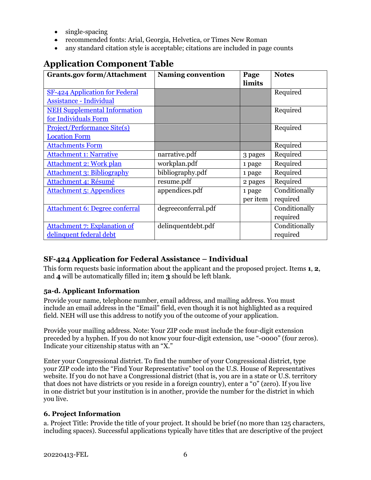- single-spacing
- recommended fonts: Arial, Georgia, Helvetica, or Times New Roman
- any standard citation style is acceptable; citations are included in page counts

## **Application Component Table**

| <b>Grants.gov form/Attachment</b>     | <b>Naming convention</b> | Page     | <b>Notes</b>  |
|---------------------------------------|--------------------------|----------|---------------|
|                                       |                          | limits   |               |
| SF-424 Application for Federal        |                          |          | Required      |
| <b>Assistance - Individual</b>        |                          |          |               |
| <b>NEH Supplemental Information</b>   |                          |          | Required      |
| for Individuals Form                  |                          |          |               |
| <b>Project/Performance Site(s)</b>    |                          |          | Required      |
| <b>Location Form</b>                  |                          |          |               |
| <b>Attachments Form</b>               |                          |          | Required      |
| <b>Attachment 1: Narrative</b>        | narrative.pdf            | 3 pages  | Required      |
| Attachment 2: Work plan               | workplan.pdf             | 1 page   | Required      |
| <b>Attachment 3: Bibliography</b>     | bibliography.pdf         | 1 page   | Required      |
| Attachment 4: Résumé                  | resume.pdf               | 2 pages  | Required      |
| <b>Attachment 5: Appendices</b>       | appendices.pdf           | 1 page   | Conditionally |
|                                       |                          | per item | required      |
| <b>Attachment 6: Degree conferral</b> | degreeconferral.pdf      |          | Conditionally |
|                                       |                          |          | required      |
| <b>Attachment 7: Explanation of</b>   | delinquentdebt.pdf       |          | Conditionally |
| delinquent federal debt               |                          |          | required      |

#### **SF-424 Application for Federal Assistance – Individual**

<span id="page-8-0"></span>This form requests basic information about the applicant and the proposed project. Items **1**, **2**, and **4** will be automatically filled in; item **3** should be left blank.

#### **5a-d. Applicant Information**

Provide your name, telephone number, email address, and mailing address. You must include an email address in the "Email" field, even though it is not highlighted as a required field. NEH will use this address to notify you of the outcome of your application.

Provide your mailing address. Note: Your ZIP code must include the four-digit extension preceded by a hyphen. If you do not know your four-digit extension, use "-0000" (four zeros). Indicate your citizenship status with an "X."

Enter your Congressional district. To find the number of your Congressional district, type your ZIP code into the "Find Your Representative" tool on the U.S. House of Representatives website. If you do not have a Congressional district (that is, you are in a state or U.S. territory that does not have districts or you reside in a foreign country), enter a "0" (zero). If you live in one district but your institution is in another, provide the number for the district in which you live.

#### **6. Project Information**

a. Project Title: Provide the title of your project. It should be brief (no more than 125 characters, including spaces). Successful applications typically have titles that are descriptive of the project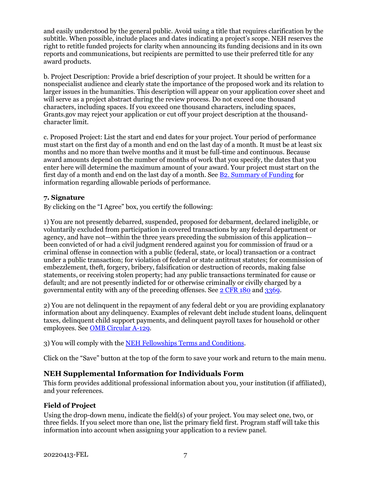and easily understood by the general public. Avoid using a title that requires clarification by the subtitle. When possible, include places and dates indicating a project's scope. NEH reserves the right to retitle funded projects for clarity when announcing its funding decisions and in its own reports and communications, but recipients are permitted to use their preferred title for any award products.

b. Project Description: Provide a brief description of your project. It should be written for a nonspecialist audience and clearly state the importance of the proposed work and its relation to larger issues in the humanities. This description will appear on your application cover sheet and will serve as a project abstract during the review process. Do not exceed one thousand characters, including spaces. If you exceed one thousand characters, including spaces, Grants.gov may reject your application or cut off your project description at the thousandcharacter limit.

c. Proposed Project: List the start and end dates for your project. Your period of performance must start on the first day of a month and end on the last day of a month. It must be at least six months and no more than twelve months and it must be full-time and continuous. Because award amounts depend on the number of months of work that you specify, the dates that you enter here will determine the maximum amount of your award. Your project must start on the first day of a month and end on the last day of a month. See [B2. Summary of Funding](#page-4-2) for information regarding allowable periods of performance.

#### **7. Signature**

By clicking on the "I Agree" box, you certify the following:

1) You are not presently debarred, suspended, proposed for debarment, declared ineligible, or voluntarily excluded from participation in covered transactions by any federal department or agency, and have not—within the three years preceding the submission of this application been convicted of or had a civil judgment rendered against you for commission of fraud or a criminal offense in connection with a public (federal, state, or local) transaction or a contract under a public transaction; for violation of federal or state antitrust statutes; for commission of embezzlement, theft, forgery, bribery, falsification or destruction of records, making false statements, or receiving stolen property; had any public transactions terminated for cause or default; and are not presently indicted for or otherwise criminally or civilly charged by a governmental entity with any of the preceding offenses. See [2 CFR 180](https://www.ecfr.gov/current/title-2/subtitle-A/chapter-I/part-180?toc=1) and [3369.](https://www.ecfr.gov/cgi-bin/text-idx?SID=902a748402bef7d8543f27adaf553773&mc=true&node=pt2.1.3369&rgn=div5)

2) You are not delinquent in the repayment of any federal debt or you are providing explanatory information about any delinquency. Examples of relevant debt include student loans, delinquent taxes, delinquent child support payments, and delinquent payroll taxes for household or other employees. See [OMB Circular A-129.](https://www.whitehouse.gov/sites/whitehouse.gov/files/omb/circulars/A129/a-129.pdf)

3) You will comply with the NEH Fellowships [Terms and Conditions.](https://www.neh.gov/grants/manage/neh-fellowships-terms-and-conditions)

<span id="page-9-0"></span>Click on the "Save" button at the top of the form to save your work and return to the main menu.

#### **NEH Supplemental Information for Individuals Form**

This form provides additional professional information about you, your institution (if affiliated), and your references.

#### **Field of Project**

Using the drop-down menu, indicate the field(s) of your project. You may select one, two, or three fields. If you select more than one, list the primary field first. Program staff will take this information into account when assigning your application to a review panel.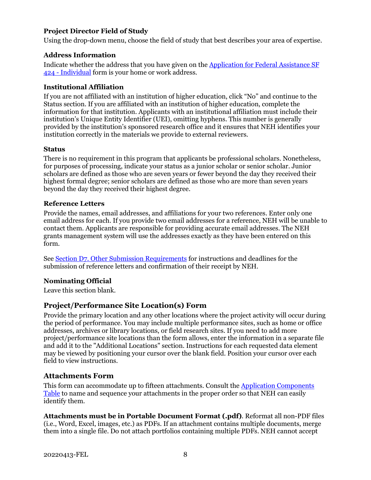#### **Project Director Field of Study**

Using the drop-down menu, choose the field of study that best describes your area of expertise.

#### **Address Information**

Indicate whether the address that you have given on the [Application for Federal Assistance](#page-8-0) SF [424 - Individual](#page-8-0) form is your home or work address.

#### **Institutional Affiliation**

If you are not affiliated with an institution of higher education, click "No" and continue to the Status section. If you are affiliated with an institution of higher education, complete the information for that institution. Applicants with an institutional affiliation must include their institution's Unique Entity Identifier (UEI), omitting hyphens. This number is generally provided by the institution's sponsored research office and it ensures that NEH identifies your institution correctly in the materials we provide to external reviewers.

#### **Status**

There is no requirement in this program that applicants be professional scholars. Nonetheless, for purposes of processing, indicate your status as a junior scholar or senior scholar. Junior scholars are defined as those who are seven years or fewer beyond the day they received their highest formal degree; senior scholars are defined as those who are more than seven years beyond the day they received their highest degree.

#### **Reference Letters**

Provide the names, email addresses, and affiliations for your two references. Enter only one email address for each. If you provide two email addresses for a reference, NEH will be unable to contact them. Applicants are responsible for providing accurate email addresses. The NEH grants management system will use the addresses exactly as they have been entered on this form.

See [Section D7. Other Submission Requirements](#page-16-2) for instructions and deadlines for the submission of reference letters and confirmation of their receipt by NEH.

#### **Nominating Official**

Leave this section blank.

#### **Project/Performance Site Location(s) Form**

<span id="page-10-1"></span>Provide the primary location and any other locations where the project activity will occur during the period of performance. You may include multiple performance sites, such as home or office addresses, archives or library locations, or field research sites. If you need to add more project/performance site locations than the form allows, enter the information in a separate file and add it to the "Additional Locations" section. Instructions for each requested data element may be viewed by positioning your cursor over the blank field. Position your cursor over each field to view instructions.

#### <span id="page-10-0"></span>**Attachments Form**

This form can accommodate up to fifteen attachments. Consult the [Application Components](#page-8-0)  [Table](#page-8-0) to name and sequence your attachments in the proper order so that NEH can easily identify them.

**Attachments must be in Portable Document Format (.pdf)**. Reformat all non-PDF files (i.e., Word, Excel, images, etc.) as PDFs. If an attachment contains multiple documents, merge them into a single file. Do not attach portfolios containing multiple PDFs. NEH cannot accept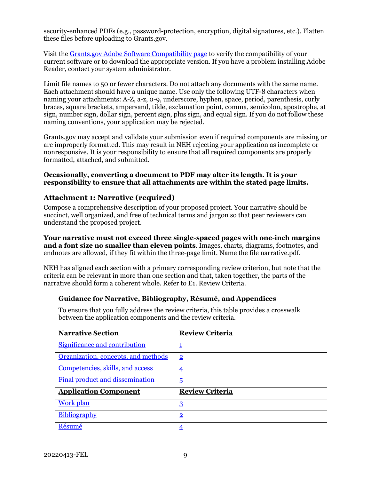security-enhanced PDFs (e.g., password-protection, encryption, digital signatures, etc.). Flatten these files before uploading to Grants.gov.

Visit the Grants.gov [Adobe Software Compatibility page](https://www.grants.gov/web/grants/applicants/adobe-software-compatibility.html) to verify the compatibility of your current software or to download the appropriate version. If you have a problem installing Adobe Reader, contact your system administrator.

Limit file names to 50 or fewer characters. Do not attach any documents with the same name. Each attachment should have a unique name. Use only the following UTF-8 characters when naming your attachments: A-Z, a-z, 0-9, underscore, hyphen, space, period, parenthesis, curly braces, square brackets, ampersand, tilde, exclamation point, comma, semicolon, apostrophe, at sign, number sign, dollar sign, percent sign, plus sign, and equal sign. If you do not follow these naming conventions, your application may be rejected.

Grants.gov may accept and validate your submission even if required components are missing or are improperly formatted. This may result in NEH rejecting your application as incomplete or nonresponsive. It is your responsibility to ensure that all required components are properly formatted, attached, and submitted.

#### **Occasionally, converting a document to PDF may alter its length. It is your responsibility to ensure that all attachments are within the stated page limits.**

#### <span id="page-11-0"></span>**Attachment 1: Narrative (required)**

Compose a comprehensive description of your proposed project. Your narrative should be succinct, well organized, and free of technical terms and jargon so that peer reviewers can understand the proposed project.

**Your narrative must not exceed three single-spaced pages with one-inch margins and a font size no smaller than eleven points**. Images, charts, diagrams, footnotes, and endnotes are allowed, if they fit within the three-page limit. Name the file narrative.pdf.

NEH has aligned each section with a primary corresponding review criterion, but note that the criteria can be relevant in more than one section and that, taken together, the parts of the narrative should form a coherent whole. Refer to [E1. Review Criteria.](bookmark://_1.__Review/)

#### **Guidance for Narrative, Bibliography, Résumé, and Appendices**

To ensure that you fully address the review criteria, this table provides a crosswalk between the application components and the review criteria.

| <b>Narrative Section</b>               | <b>Review Criteria</b>  |
|----------------------------------------|-------------------------|
| Significance and contribution          | 1                       |
| Organization, concepts, and methods    | $\overline{\mathbf{2}}$ |
| Competencies, skills, and access       | $\overline{4}$          |
| <b>Final product and dissemination</b> | 5                       |
| <b>Application Component</b>           | <b>Review Criteria</b>  |
| <b>Work plan</b>                       | $\mathbf{3}$            |
| <b>Bibliography</b>                    | $\overline{2}$          |
| Résumé                                 | $\overline{4}$          |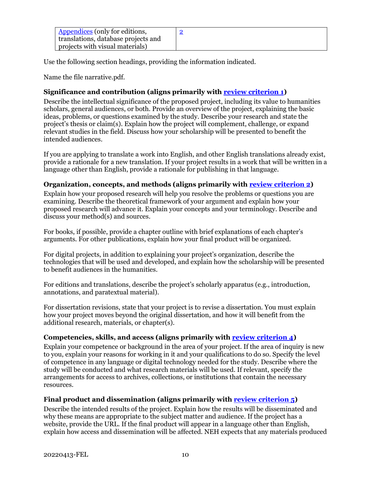| Appendices (only for editions,      |  |
|-------------------------------------|--|
| translations, database projects and |  |
| projects with visual materials)     |  |

Use the following section headings, providing the information indicated.

Name the file narrative.pdf.

#### **Significance and contribution (aligns primarily with [review criterion 1\)](#page-17-1)**

Describe the intellectual significance of the proposed project, including its value to humanities scholars, general audiences, or both. Provide an overview of the project, explaining the basic ideas, problems, or questions examined by the study. Describe your research and state the project's thesis or claim(s). Explain how the project will complement, challenge, or expand relevant studies in the field. Discuss how your scholarship will be presented to benefit the intended audiences.

If you are applying to translate a work into English, and other English translations already exist, provide a rationale for a new translation. If your project results in a work that will be written in a language other than English, provide a rationale for publishing in that language.

#### **Organization, concepts, and methods (aligns primarily with [review criterion 2\)](#page-17-1)**

Explain how your proposed research will help you resolve the problems or questions you are examining. Describe the theoretical framework of your argument and explain how your proposed research will advance it. Explain your concepts and your terminology. Describe and discuss your method(s) and sources.

For books, if possible, provide a chapter outline with brief explanations of each chapter's arguments. For other publications, explain how your final product will be organized.

For digital projects, in addition to explaining your project's organization, describe the technologies that will be used and developed, and explain how the scholarship will be presented to benefit audiences in the humanities.

For editions and translations, describe the project's scholarly apparatus (e.g., introduction, annotations, and paratextual material).

For dissertation revisions, state that your project is to revise a dissertation. You must explain how your project moves beyond the original dissertation, and how it will benefit from the additional research, materials, or chapter(s).

#### **Competencies, skills, and access (aligns primarily with [review criterion 4\)](#page-17-1)**

Explain your competence or background in the area of your project. If the area of inquiry is new to you, explain your reasons for working in it and your qualifications to do so. Specify the level of competence in any language or digital technology needed for the study. Describe where the study will be conducted and what research materials will be used. If relevant, specify the arrangements for access to archives, collections, or institutions that contain the necessary resources.

#### **Final product and dissemination (aligns primarily with [review criterion 5\)](#page-17-1)**

Describe the intended results of the project. Explain how the results will be disseminated and why these means are appropriate to the subject matter and audience. If the project has a website, provide the URL. If the final product will appear in a language other than English, explain how access and dissemination will be affected. NEH expects that any materials produced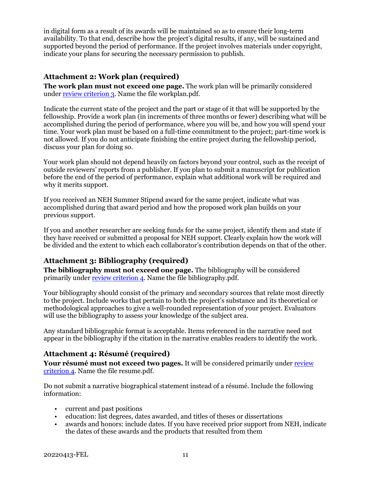in digital form as a result of its awards will be maintained so as to ensure their long-term availability. To that end, describe how the project's digital results, if any, will be sustained and supported beyond the period of performance. If the project involves materials under copyright, indicate your plans for securing the necessary permission to publish.

#### <span id="page-13-0"></span>**Attachment 2: Work plan (required)**

**The work plan must not exceed one page.** The work plan will be primarily considered under [review criterion 3.](#page-17-1) Name the file workplan.pdf.

Indicate the current state of the project and the part or stage of it that will be supported by the fellowship. Provide a work plan (in increments of three months or fewer) describing what will be accomplished during the period of performance, where you will be, and how you will spend your time. Your work plan must be based on a full-time commitment to the project; part-time work is not allowed. If you do not anticipate finishing the entire project during the fellowship period, discuss your plan for doing so.

Your work plan should not depend heavily on factors beyond your control, such as the receipt of outside reviewers' reports from a publisher. If you plan to submit a manuscript for publication before the end of the period of performance, explain what additional work will be required and why it merits support.

If you received an NEH Summer Stipend award for the same project, indicate what was accomplished during that award period and how the proposed work plan builds on your previous support.

If you and another researcher are seeking funds for the same project, identify them and state if they have received or submitted a proposal for NEH support. Clearly explain how the work will be divided and the extent to which each collaborator's contribution depends on that of the other.

#### <span id="page-13-1"></span>**Attachment 3: Bibliography (required)**

**The bibliography must not exceed one page.** The bibliography will be considered primarily under [review criterion 4.](#page-17-1) Name the file bibliography.pdf.

Your bibliography should consist of the primary and secondary sources that relate most directly to the project. Include works that pertain to both the project's substance and its theoretical or methodological approaches to give a well-rounded representation of your project. Evaluators will use the bibliography to assess your knowledge of the subject area.

Any standard bibliographic format is acceptable. Items referenced in the narrative need not appear in the bibliography if the citation in the narrative enables readers to identify the work.

#### <span id="page-13-2"></span>**Attachment 4: Résumé (required)**

**Your résumé must not exceed two pages.** It will be considered primarily unde[r review](#page-17-1)  [criterion 4.](#page-17-1) Name the file resume.pdf.

Do not submit a narrative biographical statement instead of a résumé. Include the following information:

- current and past positions
- education: list degrees, dates awarded, and titles of theses or dissertations
- awards and honors: include dates. If you have received prior support from NEH, indicate the dates of these awards and the products that resulted from them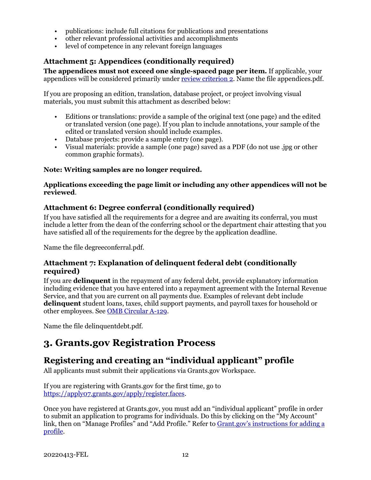- publications: include full citations for publications and presentations
- other relevant professional activities and accomplishments
- level of competence in any relevant foreign languages

#### <span id="page-14-2"></span>**Attachment 5: Appendices (conditionally required)**

**The appendices must not exceed one single-spaced page per item.** If applicable, your appendices will be considered primarily under [review criterion 2.](#page-17-1) Name the file appendices.pdf.

If you are proposing an edition, translation, database project, or project involving visual materials, you must submit this attachment as described below:

- Editions or translations: provide a sample of the original text (one page) and the edited or translated version (one page). If you plan to include annotations, your sample of the edited or translated version should include examples.
- Database projects: provide a sample entry (one page).
- Visual materials: provide a sample (one page) saved as a PDF (do not use .jpg or other common graphic formats).

#### **Note: Writing samples are no longer required.**

#### **Applications exceeding the page limit or including any other appendices will not be reviewed**.

#### <span id="page-14-1"></span>**Attachment 6: Degree conferral (conditionally required)**

If you have satisfied all the requirements for a degree and are awaiting its conferral, you must include a letter from the dean of the conferring school or the department chair attesting that you have satisfied all of the requirements for the degree by the application deadline.

Name the file degreeconferral.pdf.

#### <span id="page-14-3"></span>**Attachment 7: Explanation of delinquent federal debt (conditionally required)**

If you are **delinquent** in the repayment of any federal debt, provide explanatory information including evidence that you have entered into a repayment agreement with the Internal Revenue Service, and that you are current on all payments due. Examples of relevant debt include **delinquent** student loans, taxes, child support payments, and payroll taxes for household or other employees. See [OMB Circular A-129.](https://www.whitehouse.gov/sites/whitehouse.gov/files/omb/circulars/A129/a-129.pdf)

Name the file delinquentdebt.pdf.

## **3. Grants.gov Registration Process**

### <span id="page-14-0"></span>**Registering and creating an "individual applicant" profile**

All applicants must submit their applications via Grants.gov Workspace.

If you are registering with Grants.gov for the first time, go to [https://apply07.grants.gov/apply/register.faces.](https://apply07.grants.gov/apply/register.faces)

Once you have registered at Grants.gov, you must add an "individual applicant" profile in order to submit an application to programs for individuals. Do this by clicking on the "My Account" link, then on "Manage Profiles" and "Add Profile." Refer to [Grant.gov's instructions for adding a](https://www.grants.gov/help/html/help/index.htm?callingApp=custom#t=Register%2FAddProfile.htm)  [profile.](https://www.grants.gov/help/html/help/index.htm?callingApp=custom#t=Register%2FAddProfile.htm)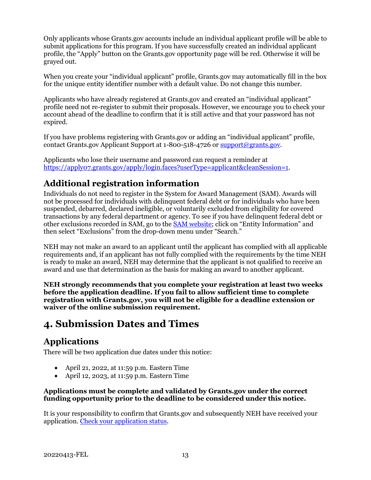Only applicants whose Grants.gov accounts include an individual applicant profile will be able to submit applications for this program. If you have successfully created an individual applicant profile, the "Apply" button on the Grants.gov opportunity page will be red. Otherwise it will be grayed out.

When you create your "individual applicant" profile, Grants.gov may automatically fill in the box for the unique entity identifier number with a default value. Do not change this number.

Applicants who have already registered at Grants.gov and created an "individual applicant" profile need not re-register to submit their proposals. However, we encourage you to check your account ahead of the deadline to confirm that it is still active and that your password has not expired.

If you have problems registering with Grants.gov or adding an "individual applicant" profile, contact Grants.gov Applicant Support at 1-800-518-4726 o[r support@grants.gov.](mailto:support@grants.gov)

Applicants who lose their username and password can request a reminder at [https://apply07.grants.gov/apply/login.faces?userType=applicant&cleanSession=1.](https://apply07.grants.gov/apply/login.faces?userType=applicant&cleanSession=1)

### **Additional registration information**

Individuals do not need to register in the System for Award Management (SAM). Awards will not be processed for individuals with delinquent federal debt or for individuals who have been suspended, debarred, declared ineligible, or voluntarily excluded from eligibility for covered transactions by any federal department or agency. To see if you have delinquent federal debt or other exclusions recorded in SAM, go to the [SAM website;](https://sam.gov/content/home) click on "Entity Information" and then select "Exclusions" from the drop-down menu under "Search."

NEH may not make an award to an applicant until the applicant has complied with all applicable requirements and, if an applicant has not fully complied with the requirements by the time NEH is ready to make an award, NEH may determine that the applicant is not qualified to receive an award and use that determination as the basis for making an award to another applicant.

**NEH strongly recommends that you complete your registration at least two weeks before the application deadline. If you fail to allow sufficient time to complete registration with Grants.gov, you will not be eligible for a deadline extension or waiver of the online submission requirement.**

## <span id="page-15-0"></span>**4. Submission Dates and Times**

### **Applications**

There will be two application due dates under this notice:

- April 21, 2022, at 11:59 p.m. Eastern Time
- April 12, 2023, at 11:59 p.m. Eastern Time

#### **Applications must be complete and validated by Grants.gov under the correct funding opportunity prior to the deadline to be considered under this notice.**

It is your responsibility to confirm that Grants.gov and subsequently NEH have received your application. [Check your application status.](https://www.grants.gov/help/html/help/Applicants/CheckApplicationStatus/CheckApplicationStatus.htm)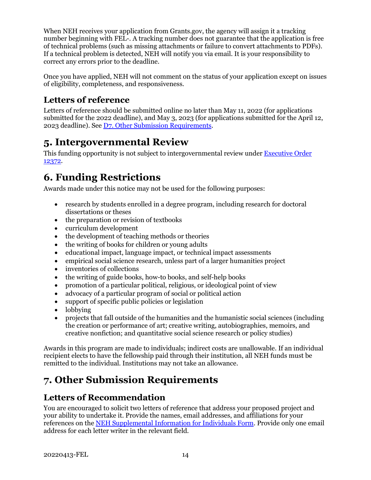When NEH receives your application from Grants.gov, the agency will assign it a tracking number beginning with FEL-. A tracking number does not guarantee that the application is free of technical problems (such as missing attachments or failure to convert attachments to PDFs). If a technical problem is detected, NEH will notify you via email. It is your responsibility to correct any errors prior to the deadline.

Once you have applied, NEH will not comment on the status of your application except on issues of eligibility, completeness, and responsiveness.

### **Letters of reference**

Letters of reference should be submitted online no later than May 11, 2022 (for applications submitted for the 2022 deadline), and May 3, 2023 (for applications submitted for the April 12, 2023 deadline). Se[e D7. Other Submission Requirements.](#page-16-2)

## <span id="page-16-0"></span>**5. Intergovernmental Review**

This funding opportunity is not subject to intergovernmental review under [Executive Order](https://www.archives.gov/federal-register/codification/executive-order/12372.html)  [12372.](https://www.archives.gov/federal-register/codification/executive-order/12372.html)

## <span id="page-16-1"></span>**6. Funding Restrictions**

Awards made under this notice may not be used for the following purposes:

- research by students enrolled in a degree program, including research for doctoral dissertations or theses
- the preparation or revision of textbooks
- curriculum development
- the development of teaching methods or theories
- the writing of books for children or young adults
- educational impact, language impact, or technical impact assessments
- empirical social science research, unless part of a larger humanities project
- inventories of collections
- the writing of guide books, how-to books, and self-help books
- promotion of a particular political, religious, or ideological point of view
- advocacy of a particular program of social or political action
- support of specific public policies or legislation
- lobbying
- projects that fall outside of the humanities and the humanistic social sciences (including the creation or performance of art; creative writing, autobiographies, memoirs, and creative nonfiction; and quantitative social science research or policy studies)

Awards in this program are made to individuals; indirect costs are unallowable. If an individual recipient elects to have the fellowship paid through their institution, all NEH funds must be remitted to the individual. Institutions may not take an allowance.

## <span id="page-16-2"></span>**7. Other Submission Requirements**

### **Letters of Recommendation**

You are encouraged to solicit two letters of reference that address your proposed project and your ability to undertake it. Provide the names, email addresses, and affiliations for your references on the [NEH Supplemental Information for Individuals Form.](#page-9-0) Provide only one email address for each letter writer in the relevant field.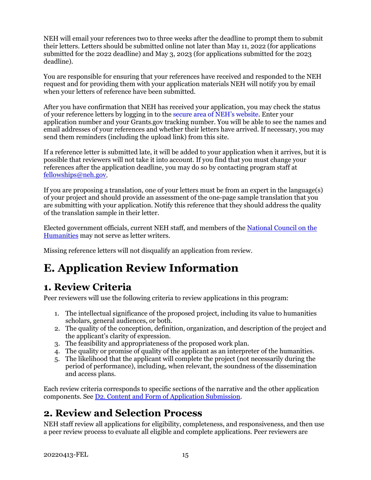NEH will email your references two to three weeks after the deadline to prompt them to submit their letters. Letters should be submitted online not later than May 11, 2022 (for applications submitted for the 2022 deadline) and May 3, 2023 (for applications submitted for the 2023 deadline).

You are responsible for ensuring that your references have received and responded to the NEH request and for providing them with your application materials NEH will notify you by email when your letters of reference have been submitted.

After you have confirmation that NEH has received your application, you may check the status of your reference letters by logging in to th[e secure area of NEH's website.](https://securegrants.neh.gov/AppStatus/) Enter your application number and your Grants.gov tracking number. You will be able to see the names and email addresses of your references and whether their letters have arrived. If necessary, you may send them reminders (including the upload link) from this site.

If a reference letter is submitted late, it will be added to your application when it arrives, but it is possible that reviewers will not take it into account. If you find that you must change your references after the application deadline, you may do so by contacting program staff at [fellowships@neh.gov.](mailto:fellowships@neh.gov)

If you are proposing a translation, one of your letters must be from an expert in the language(s) of your project and should provide an assessment of the one-page sample translation that you are submitting with your application. Notify this reference that they should address the quality of the translation sample in their letter.

Elected government officials, current NEH staff, and members of the [National Council on the](https://www.neh.gov/about/national-council-on-the-humanities)  [Humanities](https://www.neh.gov/about/national-council-on-the-humanities) may not serve as letter writers.

Missing reference letters will not disqualify an application from review.

# <span id="page-17-0"></span>**E. Application Review Information**

## <span id="page-17-1"></span>**1. Review Criteria**

Peer reviewers will use the following criteria to review applications in this program:

- 1. The intellectual significance of the proposed project, including its value to humanities scholars, general audiences, or both.
- 2. The quality of the conception, definition, organization, and description of the project and the applicant's clarity of expression.
- 3. The feasibility and appropriateness of the proposed work plan.
- 4. The quality or promise of quality of the applicant as an interpreter of the humanities.
- 5. The likelihood that the applicant will complete the project (not necessarily during the period of performance), including, when relevant, the soundness of the dissemination and access plans.

Each review criteria corresponds to specific sections of the narrative and the other application components. See [D2. Content and Form of Application Submission.](#page-7-2)

## <span id="page-17-2"></span>**2. Review and Selection Process**

NEH staff review all applications for eligibility, completeness, and responsiveness, and then use a peer review process to evaluate all eligible and complete applications. Peer reviewers are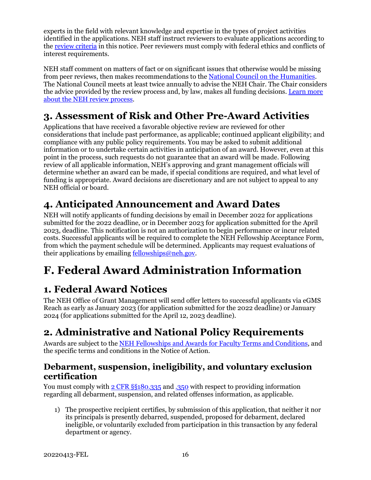experts in the field with relevant knowledge and expertise in the types of project activities identified in the applications. NEH staff instruct reviewers to evaluate applications according to the [review criteria](#page-17-1) in this notice. Peer reviewers must comply with federal ethics and conflicts of interest requirements.

NEH staff comment on matters of fact or on significant issues that otherwise would be missing from peer reviews, then makes recommendations to th[e National Council on the Humanities.](https://www.neh.gov/about/national-council-on-the-humanities) The National Council meets at least twice annually to advise the NEH Chair. The Chair considers the advice provided by the review process and, by law, makes all funding decisions. [Learn more](https://www.neh.gov/grants/application-process)  [about the NEH review process.](https://www.neh.gov/grants/application-process)

## <span id="page-18-0"></span>**3. Assessment of Risk and Other Pre-Award Activities**

Applications that have received a favorable objective review are reviewed for other considerations that include past performance, as applicable; continued applicant eligibility; and compliance with any public policy requirements. You may be asked to submit additional information or to undertake certain activities in anticipation of an award. However, even at this point in the process, such requests do not guarantee that an award will be made. Following review of all applicable information, NEH's approving and grant management officials will determine whether an award can be made, if special conditions are required, and what level of funding is appropriate. Award decisions are discretionary and are not subject to appeal to any NEH official or board.

## <span id="page-18-1"></span>**4. Anticipated Announcement and Award Dates**

NEH will notify applicants of funding decisions by email in December 2022 for applications submitted for the 2022 deadline, or in December 2023 for application submitted for the April 2023, deadline. This notification is not an authorization to begin performance or incur related costs. Successful applicants will be required to complete the NEH Fellowship Acceptance Form, from which the payment schedule will be determined. Applicants may request evaluations of their applications by emailing [fellowships@neh.gov.](mailto:fellowships@neh.gov)

# <span id="page-18-2"></span>**F. Federal Award Administration Information**

## <span id="page-18-3"></span>**1. Federal Award Notices**

The NEH Office of Grant Management will send offer letters to successful applicants via eGMS Reach as early as January 2023 (for application submitted for the 2022 deadline) or January 2024 (for applications submitted for the April 12, 2023 deadline).

## <span id="page-18-4"></span>**2. Administrative and National Policy Requirements**

Awards are subject to the [NEH Fellowships and Awards for Faculty Terms and Conditions,](https://www.neh.gov/grants/manage/neh-fellowships-terms-and-conditions) and the specific terms and conditions in the Notice of Action.

### **Debarment, suspension, ineligibility, and voluntary exclusion certification**

You must comply with [2 CFR §§180.335](https://www.ecfr.gov/cgi-bin/text-idx?node=2:1.1.1.2.9.3.3.8&rgn=div8) an[d .350](https://www.ecfr.gov/cgi-bin/text-idx?SID=8484a1410effbe760bcb6b134d9c035a&mc=true&node=pt2.1.180&rgn=div5#se2.1.180_1350) with respect to providing information regarding all debarment, suspension, and related offenses information, as applicable.

1) The prospective recipient certifies, by submission of this application, that neither it nor its principals is presently debarred, suspended, proposed for debarment, declared ineligible, or voluntarily excluded from participation in this transaction by any federal department or agency.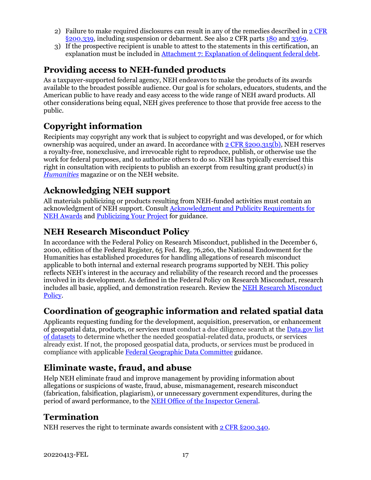- 2) Failure to make required disclosures can result in any of the remedies described in 2 CFR [§200.339,](https://www.ecfr.gov/cgi-bin/text-idx?SID=2262ad9c20e9d3a49f2c569c773c8aa1&mc=true&node=pt2.1.200&rgn=div5#se2.1.200_1339) including suspension or debarment. See also 2 CFR parts [180](https://www.ecfr.gov/cgi-bin/text-idx?tpl=/ecfrbrowse/Title02/2cfr180_main_02.tpl) and [3369.](https://www.ecfr.gov/cgi-bin/text-idx?SID=902a748402bef7d8543f27adaf553773&mc=true&node=pt2.1.3369&rgn=div5)
- 3) If the prospective recipient is unable to attest to the statements in this certification, an explanation must be included in [Attachment 7: Explanation of delinquent federal debt.](#page-14-3)

### **Providing access to NEH-funded products**

As a taxpayer-supported federal agency, NEH endeavors to make the products of its awards available to the broadest possible audience. Our goal is for scholars, educators, students, and the American public to have ready and easy access to the wide range of NEH award products. All other considerations being equal, NEH gives preference to those that provide free access to the public.

## **Copyright information**

Recipients may copyright any work that is subject to copyright and was developed, or for which ownership was acquired, under an award. In accordance wit[h 2 CFR §200.315\(b\),](https://www.ecfr.gov/cgi-bin/text-idx?SID=245f872e0bd31305c176712cd2b8b767&mc=true&node=se2.1.200_1315&rgn=div8) NEH reserves a royalty-free, nonexclusive, and irrevocable right to reproduce, publish, or otherwise use the work for federal purposes, and to authorize others to do so. NEH has typically exercised this right in consultation with recipients to publish an excerpt from resulting grant product(s) in *[Humanities](https://www.neh.gov/humanities)* magazine or on the NEH website.

### **Acknowledging NEH support**

All materials publicizing or products resulting from NEH-funded activities must contain an acknowledgment of NEH support. Consult [Acknowledgment and Publicity Requirements for](https://www.neh.gov/grants/manage/acknowledgment-and-publicity-requirements-neh-awards)  [NEH Awards](https://www.neh.gov/grants/manage/acknowledgment-and-publicity-requirements-neh-awards) and [Publicizing Your Project](https://www.neh.gov/grants/manage/publicizing-your-project) for guidance.

### **NEH Research Misconduct Policy**

In accordance with the Federal Policy on Research Misconduct, published in the December 6, 2000, edition of the Federal Register, 65 Fed. Reg. 76,260, the National Endowment for the Humanities has established procedures for handling allegations of research misconduct applicable to both internal and external research programs supported by NEH. This policy reflects NEH's interest in the accuracy and reliability of the research record and the processes involved in its development. As defined in the Federal Policy on Research Misconduct, research includes all basic, applied, and demonstration research. Review the [NEH Research Misconduct](http://www.neh.gov/grants/manage/research-misconduct-policy)  [Policy.](http://www.neh.gov/grants/manage/research-misconduct-policy)

### **Coordination of geographic information and related spatial data**

Applicants requesting funding for the development, acquisition, preservation, or enhancement of geospatial data, products, or services must conduct a due diligence search at the [Data.gov list](https://catalog.data.gov/dataset)  [of datasets](https://catalog.data.gov/dataset) to determine whether the needed geospatial-related data, products, or services already exist. If not, the proposed geospatial data, products, or services must be produced in compliance with applicable [Federal Geographic Data Committee](http://www.fgdc.gov/) guidance.

### **Eliminate waste, fraud, and abuse**

Help NEH eliminate fraud and improve management by providing information about allegations or suspicions of waste, fraud, abuse, mismanagement, research misconduct (fabrication, falsification, plagiarism), or unnecessary government expenditures, during the period of award performance, to the [NEH Office of the Inspector General.](https://www.neh.gov/about/oig)

### **Termination**

NEH reserves the right to terminate awards consistent wit[h 2 CFR §200.340.](https://www.ecfr.gov/cgi-bin/text-idx?SID=4eaffe984905bd3954347ba4972872ee&mc=true&node=pt2.1.200&rgn=div5#se2.1.200_1340)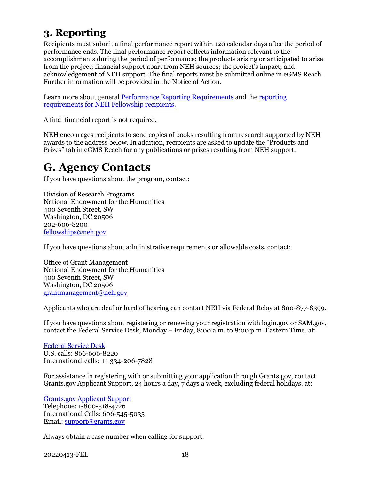## <span id="page-20-0"></span>**3. Reporting**

Recipients must submit a final performance report within 120 calendar days after the period of performance ends. The final performance report collects information relevant to the accomplishments during the period of performance; the products arising or anticipated to arise from the project; financial support apart from NEH sources; the project's impact; and acknowledgement of NEH support. The final reports must be submitted online in eGMS Reach. Further information will be provided in the Notice of Action.

Learn more about general [Performance Reporting Requirements](https://www.neh.gov/grants/manage/performance-reporting-requirements) and the [reporting](https://www.neh.gov/grants/manage/instructions-submitting-the-final-performance-report-neh-fellowships-faculty-research)  [requirements for NEH Fellowship recipients.](https://www.neh.gov/grants/manage/instructions-submitting-the-final-performance-report-neh-fellowships-faculty-research)

A final financial report is not required.

NEH encourages recipients to send copies of books resulting from research supported by NEH awards to the address below. In addition, recipients are asked to update the "Products and Prizes" tab in eGMS Reach for any publications or prizes resulting from NEH support.

# <span id="page-20-1"></span>**G. Agency Contacts**

If you have questions about the program, contact:

Division of Research Programs National Endowment for the Humanities 400 Seventh Street, SW Washington, DC 20506 202-606-8200 [fellowships@neh.gov](mailto:fellowships@neh.gov)

If you have questions about administrative requirements or allowable costs, contact:

Office of Grant Management National Endowment for the Humanities 400 Seventh Street, SW Washington, DC 20506 [grantmanagement@neh.gov](mailto:grantmanagement@neh.gov)

Applicants who are deaf or hard of hearing can contact NEH via Federal Relay at 800-877-8399.

If you have questions about registering or renewing your registration with login.gov or SAM.gov, contact the Federal Service Desk, Monday – Friday, 8:00 a.m. to 8:00 p.m. Eastern Time, at:

[Federal Service Desk](https://www.fsd.gov/fsd-gov/home.do) U.S. calls: 866-606-8220 International calls: +1 334-206-7828

For assistance in registering with or submitting your application through Grants.gov, contact Grants.gov Applicant Support, 24 hours a day, 7 days a week, excluding federal holidays. at:

[Grants.gov Applicant Support](https://www.grants.gov/web/grants/support.html) Telephone: 1-800-518-4726 International Calls: 606-545-5035 Email: [support@grants.gov](mailto:support@grants.gov)

Always obtain a case number when calling for support.

20220413-FEL 18